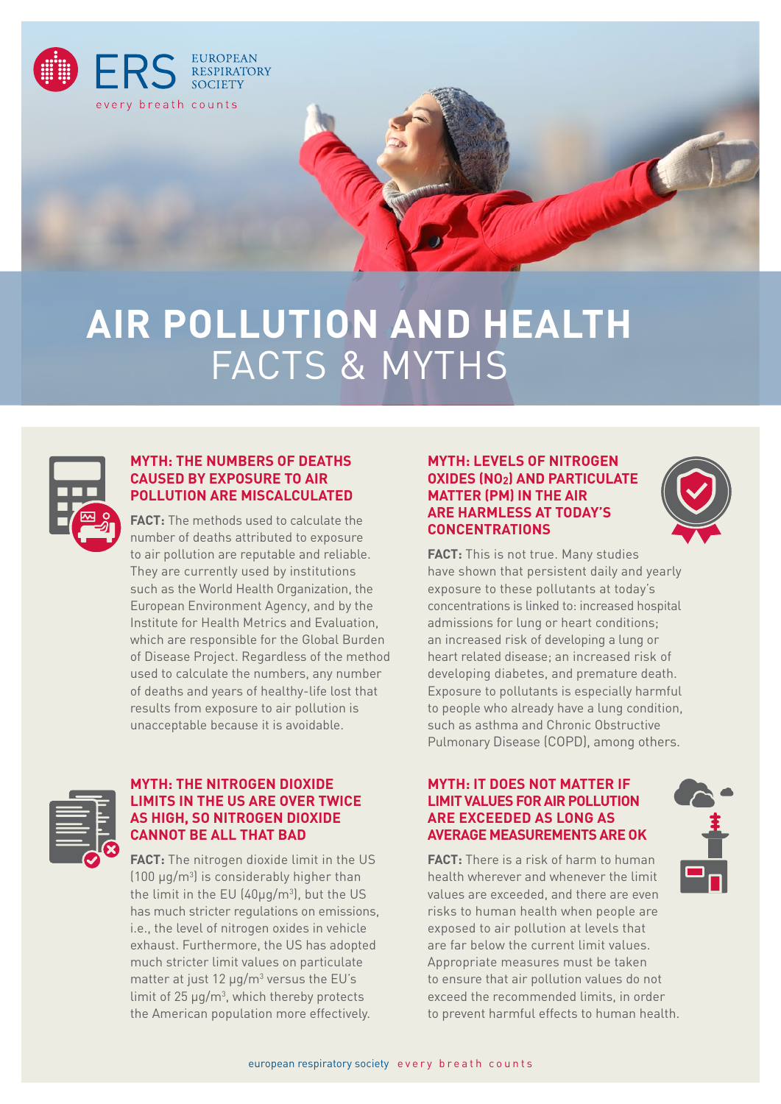

# **AIR POLLUTION AND HEALTH**  FACTS & MYTHS



#### **MYTH: THE NUMBERS OF DEATHS CAUSED BY EXPOSURE TO AIR POLLUTION ARE MISCALCULATED**

**FACT:** The methods used to calculate the number of deaths attributed to exposure to air pollution are reputable and reliable. They are currently used by institutions such as the World Health Organization, the European Environment Agency, and by the Institute for Health Metrics and Evaluation, which are responsible for the Global Burden of Disease Project. Regardless of the method used to calculate the numbers, any number of deaths and years of healthy-life lost that results from exposure to air pollution is unacceptable because it is avoidable.

# **MYTH: LEVELS OF NITROGEN OXIDES (NO2) AND PARTICULATE MATTER (PM) IN THE AIR ARE HARMLESS AT TODAY'S CONCENTRATIONS**



**FACT:** This is not true. Many studies have shown that persistent daily and yearly exposure to these pollutants at today's concentrations is linked to: increased hospital admissions for lung or heart conditions; an increased risk of developing a lung or heart related disease; an increased risk of developing diabetes, and premature death. Exposure to pollutants is especially harmful to people who already have a lung condition, such as asthma and Chronic Obstructive Pulmonary Disease (COPD), among others.

## **MYTH: IT DOES NOT MATTER IF LIMIT VALUES FOR AIR POLLUTION ARE EXCEEDED AS LONG AS AVERAGE MEASUREMENTS ARE OK**

**FACT:** There is a risk of harm to human health wherever and whenever the limit values are exceeded, and there are even risks to human health when people are exposed to air pollution at levels that are far below the current limit values. Appropriate measures must be taken to ensure that air pollution values do not exceed the recommended limits, in order to prevent harmful effects to human health.



#### **MYTH: THE NITROGEN DIOXIDE LIMITS IN THE US ARE OVER TWICE AS HIGH, SO NITROGEN DIOXIDE CANNOT BE ALL THAT BAD**

**FACT:** The nitrogen dioxide limit in the US  $(100 \mu g/m^3)$  is considerably higher than the limit in the EU (40 $\mu$ g/m<sup>3</sup>), but the US has much stricter regulations on emissions, i.e., the level of nitrogen oxides in vehicle exhaust. Furthermore, the US has adopted much stricter limit values on particulate matter at just 12  $\mu$ g/m<sup>3</sup> versus the EU's limit of  $25 \mu g/m^3$ , which thereby protects the American population more effectively.